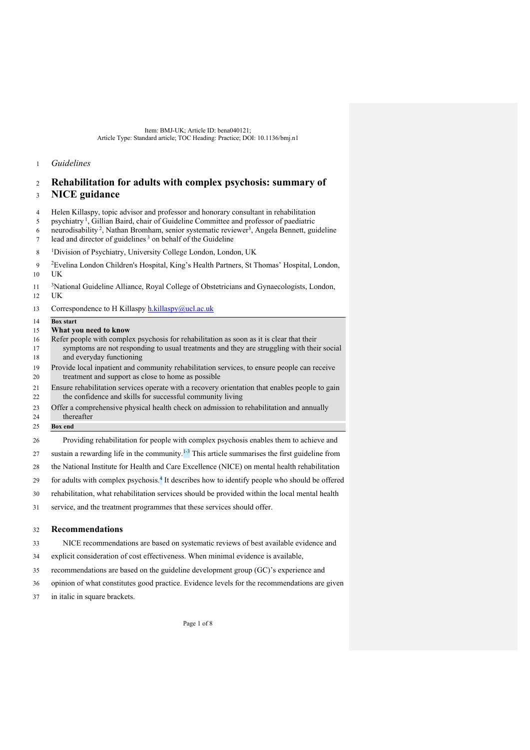## *Guidelines*

# **Rehabilitation for adults with complex psychosis: summary of NICE guidance**

- Helen Killaspy, topic advisor and professor and honorary consultant in rehabilitation
- 5 psychiatry<sup>1</sup>, Gillian Baird, chair of Guideline Committee and professor of paediatric
- 6 neurodisability<sup>2</sup>, Nathan Bromham, senior systematic reviewer<sup>3</sup>, Angela Bennett, guideline  $\frac{1}{2}$  lead and director of guidelines<sup>3</sup> on behalf of the Guideline
- <sup>1</sup> Division of Psychiatry, University College London, London, UK
- <sup>2</sup> Evelina London Children's Hospital, King's Health Partners, St Thomas' Hospital, London, UK
- <sup>3</sup>National Guideline Alliance, Royal College of Obstetricians and Gynaecologists, London, UK
- 13 Correspondence to H Killaspy  $h.killasy@ucl.ac.uk$
- **Box start**

### **What you need to know**

- Refer people with complex psychosis for rehabilitation as soon as it is clear that their 17 symptoms are not responding to usual treatments and they are struggling with their social and everyday functioning
- Provide local inpatient and community rehabilitation services, to ensure people can receive treatment and support as close to home as possible
- Ensure rehabilitation services operate with a recovery orientation that enables people to gain 22 the confidence and skills for successful community living
- Offer a comprehensive physical health check on admission to rehabilitation and annually thereafter
- **Box end**
- Providing rehabilitation for people with complex psychosis enables them to achieve and
- 27 sustain a rewarding life in the community.<sup>1-3</sup> This article summarises the first guideline from
- the National Institute for Health and Care Excellence (NICE) on mental health rehabilitation
- for adults with complex psychosis.4 It describes how to identify people who should be offered
- rehabilitation, what rehabilitation services should be provided within the local mental health
- service, and the treatment programmes that these services should offer.

## **Recommendations**

- NICE recommendations are based on systematic reviews of best available evidence and
- explicit consideration of cost effectiveness. When minimal evidence is available,
- recommendations are based on the guideline development group (GC)'s experience and
- opinion of what constitutes good practice. Evidence levels for the recommendations are given
- in italic in square brackets.

Page 1 of 8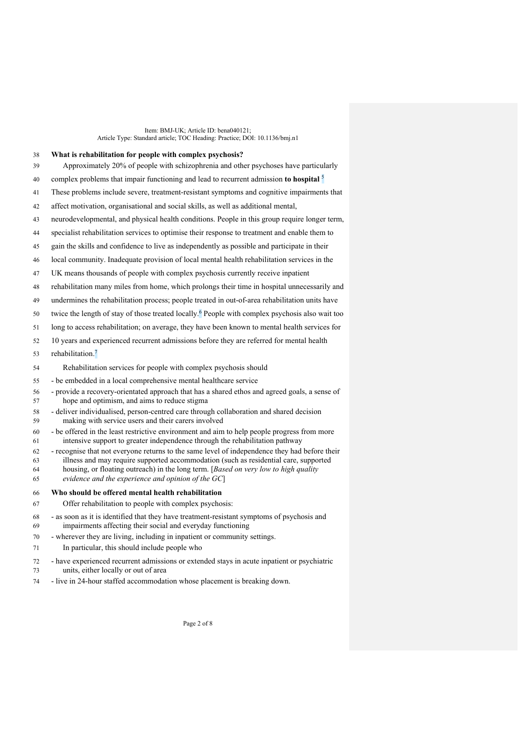### **What is rehabilitation for people with complex psychosis?**

- Approximately 20% of people with schizophrenia and other psychoses have particularly
- complex problems that impair functioning and lead to recurrent admission **to hospital** <sup>5</sup>
- These problems include severe, treatment-resistant symptoms and cognitive impairments that
- affect motivation, organisational and social skills, as well as additional mental,
- neurodevelopmental, and physical health conditions. People in this group require longer term,
- specialist rehabilitation services to optimise their response to treatment and enable them to
- gain the skills and confidence to live as independently as possible and participate in their
- local community. Inadequate provision of local mental health rehabilitation services in the
- UK means thousands of people with complex psychosis currently receive inpatient
- rehabilitation many miles from home, which prolongs their time in hospital unnecessarily and
- undermines the rehabilitation process; people treated in out-of-area rehabilitation units have
- twice the length of stay of those treated locally.<sup>6</sup> People with complex psychosis also wait too
- long to access rehabilitation; on average, they have been known to mental health services for
- 10 years and experienced recurrent admissions before they are referred for mental health
- 53 rehabilitation.<sup>7</sup>
- Rehabilitation services for people with complex psychosis should
- be embedded in a local comprehensive mental healthcare service
- provide a recovery-orientated approach that has a shared ethos and agreed goals, a sense of hope and optimism, and aims to reduce stigma
- deliver individualised, person-centred care through collaboration and shared decision making with service users and their carers involved
- be offered in the least restrictive environment and aim to help people progress from more intensive support to greater independence through the rehabilitation pathway
- recognise that not everyone returns to the same level of independence they had before their illness and may require supported accommodation (such as residential care, supported housing, or floating outreach) in the long term. [*Based on very low to high quality*
- *evidence and the experience and opinion of the GC*]

## **Who should be offered mental health rehabilitation**

- Offer rehabilitation to people with complex psychosis:
- as soon as it is identified that they have treatment-resistant symptoms of psychosis and impairments affecting their social and everyday functioning
- wherever they are living, including in inpatient or community settings.
- In particular, this should include people who
- have experienced recurrent admissions or extended stays in acute inpatient or psychiatric units, either locally or out of area
- live in 24-hour staffed accommodation whose placement is breaking down.

Page 2 of 8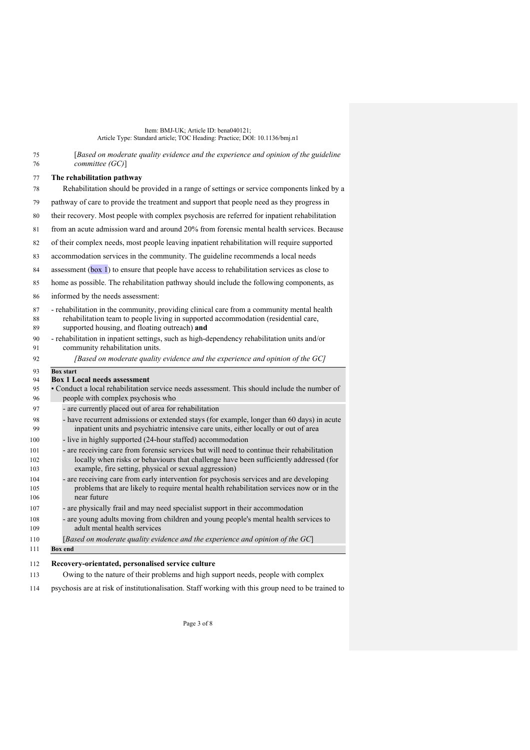| 75<br>76                 | [Based on moderate quality evidence and the experience and opinion of the guideline<br>committeel(GC)                                                                                                                                        |  |  |  |
|--------------------------|----------------------------------------------------------------------------------------------------------------------------------------------------------------------------------------------------------------------------------------------|--|--|--|
| 77                       | The rehabilitation pathway                                                                                                                                                                                                                   |  |  |  |
| 78                       | Rehabilitation should be provided in a range of settings or service components linked by a                                                                                                                                                   |  |  |  |
| 79                       | pathway of care to provide the treatment and support that people need as they progress in                                                                                                                                                    |  |  |  |
| 80                       | their recovery. Most people with complex psychosis are referred for inpatient rehabilitation                                                                                                                                                 |  |  |  |
| 81                       | from an acute admission ward and around 20% from forensic mental health services. Because                                                                                                                                                    |  |  |  |
| 82                       | of their complex needs, most people leaving inpatient rehabilitation will require supported                                                                                                                                                  |  |  |  |
| 83                       | accommodation services in the community. The guideline recommends a local needs                                                                                                                                                              |  |  |  |
| 84                       | assessment (box 1) to ensure that people have access to rehabilitation services as close to                                                                                                                                                  |  |  |  |
| 85                       | home as possible. The rehabilitation pathway should include the following components, as                                                                                                                                                     |  |  |  |
| 86                       | informed by the needs assessment:                                                                                                                                                                                                            |  |  |  |
| 87<br>88<br>89           | - rehabilitation in the community, providing clinical care from a community mental health<br>rehabilitation team to people living in supported accommodation (residential care,<br>supported housing, and floating outreach) and             |  |  |  |
| 90<br>91                 | - rehabilitation in inpatient settings, such as high-dependency rehabilitation units and/or<br>community rehabilitation units.                                                                                                               |  |  |  |
| 92                       | [Based on moderate quality evidence and the experience and opinion of the GC]                                                                                                                                                                |  |  |  |
| 94<br>95<br>96           | <b>Box 1 Local needs assessment</b><br>• Conduct a local rehabilitation service needs assessment. This should include the number of<br>people with complex psychosis who                                                                     |  |  |  |
| 97                       | - are currently placed out of area for rehabilitation                                                                                                                                                                                        |  |  |  |
| 98<br>99                 | - have recurrent admissions or extended stays (for example, longer than 60 days) in acute<br>inpatient units and psychiatric intensive care units, either locally or out of area                                                             |  |  |  |
| 100                      | - live in highly supported (24-hour staffed) accommodation                                                                                                                                                                                   |  |  |  |
| 101<br>102               | - are receiving care from forensic services but will need to continue their rehabilitation<br>locally when risks or behaviours that challenge have been sufficiently addressed (for<br>example, fire setting, physical or sexual aggression) |  |  |  |
| 103<br>104<br>105<br>106 | - are receiving care from early intervention for psychosis services and are developing<br>problems that are likely to require mental health rehabilitation services now or in the<br>near future                                             |  |  |  |
| 107                      | - are physically frail and may need specialist support in their accommodation                                                                                                                                                                |  |  |  |
| 108<br>109               | - are young adults moving from children and young people's mental health services to<br>adult mental health services                                                                                                                         |  |  |  |
| 110                      | [Based on moderate quality evidence and the experience and opinion of the $GC$ ]                                                                                                                                                             |  |  |  |
| 111                      | <b>Box</b> end                                                                                                                                                                                                                               |  |  |  |
| 112                      | Recovery-orientated, personalised service culture                                                                                                                                                                                            |  |  |  |
| 113                      | Owing to the nature of their problems and high support needs, people with complex                                                                                                                                                            |  |  |  |
| 114                      | psychosis are at risk of institutionalisation. Staff working with this group need to be trained to                                                                                                                                           |  |  |  |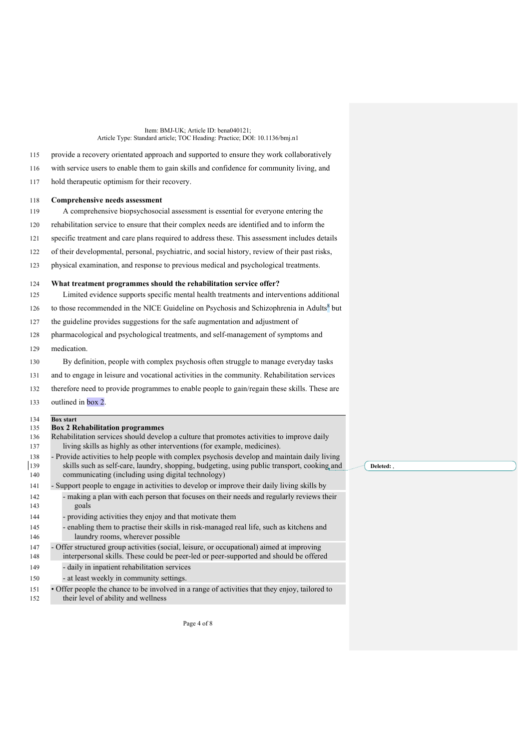provide a recovery orientated approach and supported to ensure they work collaboratively with service users to enable them to gain skills and confidence for community living, and

hold therapeutic optimism for their recovery.

## **Comprehensive needs assessment**

A comprehensive biopsychosocial assessment is essential for everyone entering the

- rehabilitation service to ensure that their complex needs are identified and to inform the
- specific treatment and care plans required to address these. This assessment includes details
- of their developmental, personal, psychiatric, and social history, review of their past risks,
- physical examination, and response to previous medical and psychological treatments.

### **What treatment programmes should the rehabilitation service offer?**

- Limited evidence supports specific mental health treatments and interventions additional
- to those recommended in the NICE Guideline on Psychosis and Schizophrenia in Adults<sup>8</sup> but
- the guideline provides suggestions for the safe augmentation and adjustment of
- pharmacological and psychological treatments, and self-management of symptoms and
- medication.

By definition, people with complex psychosis often struggle to manage everyday tasks

- and to engage in leisure and vocational activities in the community. Rehabilitation services
- therefore need to provide programmes to enable people to gain/regain these skills. These are
- outlined in box 2.

## **Box start**

# **Box 2 Rehabilits**

| 1 J J      | рол в купаршианоп ргодгаштуз                                                                                                                                                                |
|------------|---------------------------------------------------------------------------------------------------------------------------------------------------------------------------------------------|
| 136        | Rehabilitation services should develop a culture that promotes activities to improve daily<br>living skills as highly as other interventions (for example, medicines).                      |
| 137        |                                                                                                                                                                                             |
| 138<br>139 | - Provide activities to help people with complex psychosis develop and maintain daily living<br>skills such as self-care, laundry, shopping, budgeting, using public transport, cooking and |
| 140        | communicating (including using digital technology)                                                                                                                                          |
| 141        | - Support people to engage in activities to develop or improve their daily living skills by                                                                                                 |
| 142        | - making a plan with each person that focuses on their needs and regularly reviews their                                                                                                    |
| 143        | goals                                                                                                                                                                                       |
| 144        | - providing activities they enjoy and that motivate them                                                                                                                                    |
| 145        | - enabling them to practise their skills in risk-managed real life, such as kitchens and                                                                                                    |
| 146        | laundry rooms, wherever possible                                                                                                                                                            |
| 147        | - Offer structured group activities (social, leisure, or occupational) aimed at improving                                                                                                   |
| 148        | interpersonal skills. These could be peer-led or peer-supported and should be offered                                                                                                       |
| 149        | - daily in inpatient rehabilitation services                                                                                                                                                |
| 150        | - at least weekly in community settings.                                                                                                                                                    |
| 151        | • Offer people the chance to be involved in a range of activities that they enjoy, tailored to                                                                                              |

their level of ability and wellness

Page 4 of 8

**Deleted:** ,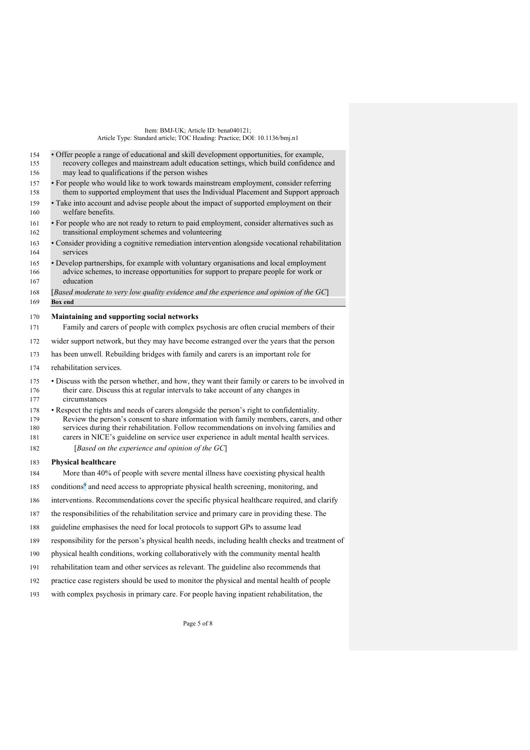| • For people who would like to work towards mainstream employment, consider referring<br>them to supported employment that uses the Individual Placement and Support approach<br>• Take into account and advise people about the impact of supported employment on their<br>• For people who are not ready to return to paid employment, consider alternatives such as<br>transitional employment schemes and volunteering<br>· Consider providing a cognitive remediation intervention alongside vocational rehabilitation<br>• Develop partnerships, for example with voluntary organisations and local employment |
|----------------------------------------------------------------------------------------------------------------------------------------------------------------------------------------------------------------------------------------------------------------------------------------------------------------------------------------------------------------------------------------------------------------------------------------------------------------------------------------------------------------------------------------------------------------------------------------------------------------------|
|                                                                                                                                                                                                                                                                                                                                                                                                                                                                                                                                                                                                                      |
|                                                                                                                                                                                                                                                                                                                                                                                                                                                                                                                                                                                                                      |
|                                                                                                                                                                                                                                                                                                                                                                                                                                                                                                                                                                                                                      |
|                                                                                                                                                                                                                                                                                                                                                                                                                                                                                                                                                                                                                      |
| advice schemes, to increase opportunities for support to prepare people for work or                                                                                                                                                                                                                                                                                                                                                                                                                                                                                                                                  |
| [Based moderate to very low quality evidence and the experience and opinion of the $GC$ ]                                                                                                                                                                                                                                                                                                                                                                                                                                                                                                                            |
|                                                                                                                                                                                                                                                                                                                                                                                                                                                                                                                                                                                                                      |
| Family and carers of people with complex psychosis are often crucial members of their                                                                                                                                                                                                                                                                                                                                                                                                                                                                                                                                |
| wider support network, but they may have become estranged over the years that the person                                                                                                                                                                                                                                                                                                                                                                                                                                                                                                                             |
| has been unwell. Rebuilding bridges with family and carers is an important role for                                                                                                                                                                                                                                                                                                                                                                                                                                                                                                                                  |
|                                                                                                                                                                                                                                                                                                                                                                                                                                                                                                                                                                                                                      |
| · Discuss with the person whether, and how, they want their family or carers to be involved in<br>their care. Discuss this at regular intervals to take account of any changes in                                                                                                                                                                                                                                                                                                                                                                                                                                    |
| • Respect the rights and needs of carers alongside the person's right to confidentiality.<br>Review the person's consent to share information with family members, carers, and other                                                                                                                                                                                                                                                                                                                                                                                                                                 |
| services during their rehabilitation. Follow recommendations on involving families and<br>carers in NICE's guideline on service user experience in adult mental health services.<br>[Based on the experience and opinion of the $GC$ ]                                                                                                                                                                                                                                                                                                                                                                               |
|                                                                                                                                                                                                                                                                                                                                                                                                                                                                                                                                                                                                                      |
| More than 40% of people with severe mental illness have coexisting physical health                                                                                                                                                                                                                                                                                                                                                                                                                                                                                                                                   |
| conditions <sup>9</sup> and need access to appropriate physical health screening, monitoring, and                                                                                                                                                                                                                                                                                                                                                                                                                                                                                                                    |
| interventions. Recommendations cover the specific physical healthcare required, and clarify                                                                                                                                                                                                                                                                                                                                                                                                                                                                                                                          |
| the responsibilities of the rehabilitation service and primary care in providing these. The                                                                                                                                                                                                                                                                                                                                                                                                                                                                                                                          |
| guideline emphasises the need for local protocols to support GPs to assume lead                                                                                                                                                                                                                                                                                                                                                                                                                                                                                                                                      |
| responsibility for the person's physical health needs, including health checks and treatment of                                                                                                                                                                                                                                                                                                                                                                                                                                                                                                                      |
| physical health conditions, working collaboratively with the community mental health                                                                                                                                                                                                                                                                                                                                                                                                                                                                                                                                 |
| rehabilitation team and other services as relevant. The guideline also recommends that                                                                                                                                                                                                                                                                                                                                                                                                                                                                                                                               |
| practice case registers should be used to monitor the physical and mental health of people<br>with complex psychosis in primary care. For people having inpatient rehabilitation, the                                                                                                                                                                                                                                                                                                                                                                                                                                |
|                                                                                                                                                                                                                                                                                                                                                                                                                                                                                                                                                                                                                      |

Page 5 of 8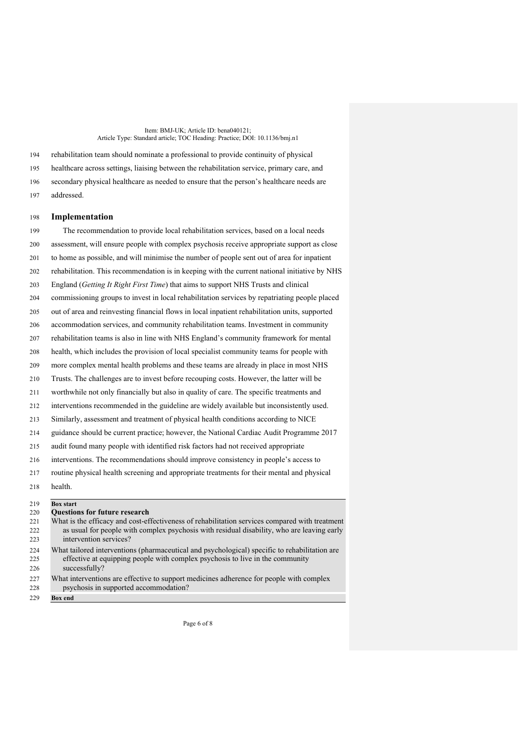rehabilitation team should nominate a professional to provide continuity of physical healthcare across settings, liaising between the rehabilitation service, primary care, and secondary physical healthcare as needed to ensure that the person's healthcare needs are addressed.

#### **Implementation**

 The recommendation to provide local rehabilitation services, based on a local needs assessment, will ensure people with complex psychosis receive appropriate support as close to home as possible, and will minimise the number of people sent out of area for inpatient rehabilitation. This recommendation is in keeping with the current national initiative by NHS England (*Getting It Right First Time*) that aims to support NHS Trusts and clinical commissioning groups to invest in local rehabilitation services by repatriating people placed out of area and reinvesting financial flows in local inpatient rehabilitation units, supported accommodation services, and community rehabilitation teams. Investment in community rehabilitation teams is also in line with NHS England's community framework for mental health, which includes the provision of local specialist community teams for people with more complex mental health problems and these teams are already in place in most NHS Trusts. The challenges are to invest before recouping costs. However, the latter will be worthwhile not only financially but also in quality of care. The specific treatments and interventions recommended in the guideline are widely available but inconsistently used. Similarly, assessment and treatment of physical health conditions according to NICE guidance should be current practice; however, the National Cardiac Audit Programme 2017 audit found many people with identified risk factors had not received appropriate interventions. The recommendations should improve consistency in people's access to routine physical health screening and appropriate treatments for their mental and physical health.

## **Box start**

| $\sim$ 1 $\prime$ | нята маге                                                                                                                                                                                       |
|-------------------|-------------------------------------------------------------------------------------------------------------------------------------------------------------------------------------------------|
| 220               | <b>Questions for future research</b>                                                                                                                                                            |
| 221               | What is the efficacy and cost-effectiveness of rehabilitation services compared with treatment                                                                                                  |
| 222               | as usual for people with complex psychosis with residual disability, who are leaving early                                                                                                      |
| 223               | intervention services?                                                                                                                                                                          |
| 224<br>225<br>226 | What tailored interventions (pharmaceutical and psychological) specific to rehabilitation are<br>effective at equipping people with complex psychosis to live in the community<br>successfully? |
| 227<br>228        | What interventions are effective to support medicines adherence for people with complex<br>psychosis in supported accommodation?                                                                |
| 229               | <b>Box</b> end                                                                                                                                                                                  |

Page 6 of 8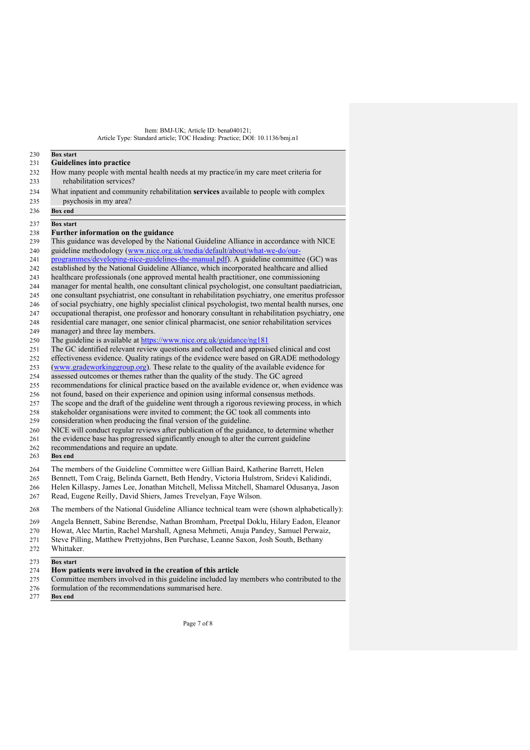#### **Box start Guidelines into practice**

- How many people with mental health needs at my practice/in my care meet criteria for rehabilitation services?
- What inpatient and community rehabilitation **services** available to people with complex psychosis in my area?
- **Box end**

**Box start**

- **Further information on the guidance**
- This guidance was developed by the National Guideline Alliance in accordance with NICE
- guideline methodology (www.nice.org.uk/media/default/about/what-we-do/our-
- programmes/developing-nice-guidelines-the-manual.pdf). A guideline committee (GC) was
- established by the National Guideline Alliance, which incorporated healthcare and allied
- healthcare professionals (one approved mental health practitioner, one commissioning
- manager for mental health, one consultant clinical psychologist, one consultant paediatrician,
- one consultant psychiatrist, one consultant in rehabilitation psychiatry, one emeritus professor
- of social psychiatry, one highly specialist clinical psychologist, two mental health nurses, one
- occupational therapist, one professor and honorary consultant in rehabilitation psychiatry, one
- residential care manager, one senior clinical pharmacist, one senior rehabilitation services
- manager) and three lay members.
- The guideline is available at https://www.nice.org.uk/guidance/ng181
- The GC identified relevant review questions and collected and appraised clinical and cost
- effectiveness evidence. Quality ratings of the evidence were based on GRADE methodology (www.gradeworkinggroup.org). These relate to the quality of the available evidence for
- assessed outcomes or themes rather than the quality of the study. The GC agreed
- recommendations for clinical practice based on the available evidence or, when evidence was
- 
- 256 not found, based on their experience and opinion using informal consensus methods.<br>257 The scope and the draft of the guideline went through a rigorous reviewing process, The scope and the draft of the guideline went through a rigorous reviewing process, in which
- stakeholder organisations were invited to comment; the GC took all comments into
- consideration when producing the final version of the guideline.
- NICE will conduct regular reviews after publication of the guidance, to determine whether
- the evidence base has progressed significantly enough to alter the current guideline
- recommendations and require an update.
- **Box end**
- The members of the Guideline Committee were Gillian Baird, Katherine Barrett, Helen
- Bennett, Tom Craig, Belinda Garnett, Beth Hendry, Victoria Hulstrom, Sridevi Kalidindi,
- Helen Killaspy, James Lee, Jonathan Mitchell, Melissa Mitchell, Shamarel Odusanya, Jason
- Read, Eugene Reilly, David Shiers, James Trevelyan, Faye Wilson.
- The members of the National Guideline Alliance technical team were (shown alphabetically):
- Angela Bennett, Sabine Berendse, Nathan Bromham, Preetpal Doklu, Hilary Eadon, Eleanor
- Howat, Alec Martin, Rachel Marshall, Agnesa Mehmeti, Anuja Pandey, Samuel Perwaiz,
- Steve Pilling, Matthew Prettyjohns, Ben Purchase, Leanne Saxon, Josh South, Bethany
- Whittaker.
- **Box start**

# **How patients were involved in the creation of this article**

- Committee members involved in this guideline included lay members who contributed to the
- formulation of the recommendations summarised here.
- **Box end**